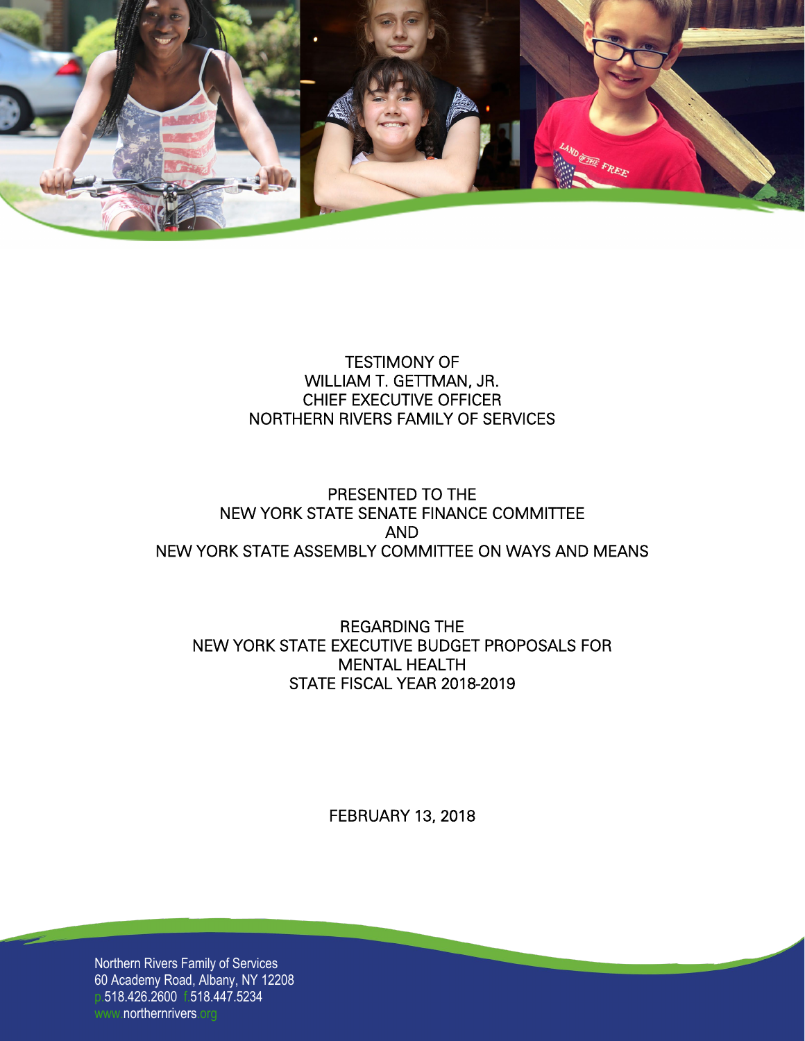

# TESTIMONY OF WILLIAM T. GETTMAN, JR. CHIEF EXECUTIVE OFFICER NORTHERN RIVERS FAMILY OF SERVICES

# PRESENTED TO THE NEW YORK STATE SENATE FINANCE COMMITTEE AND NEW YORK STATE ASSEMBLY COMMITTEE ON WAYS AND MEANS

# REGARDING THE NEW YORK STATE EXECUTIVE BUDGET PROPOSALS FOR MENTAL HEALTH STATE FISCAL YEAR 2018-2019

FEBRUARY 13, 2018

Northern Rivers Family of Services 60 Academy Road, Albany, NY 12208 p.518.426.2600 f.518.447.5234 www.northernrivers.org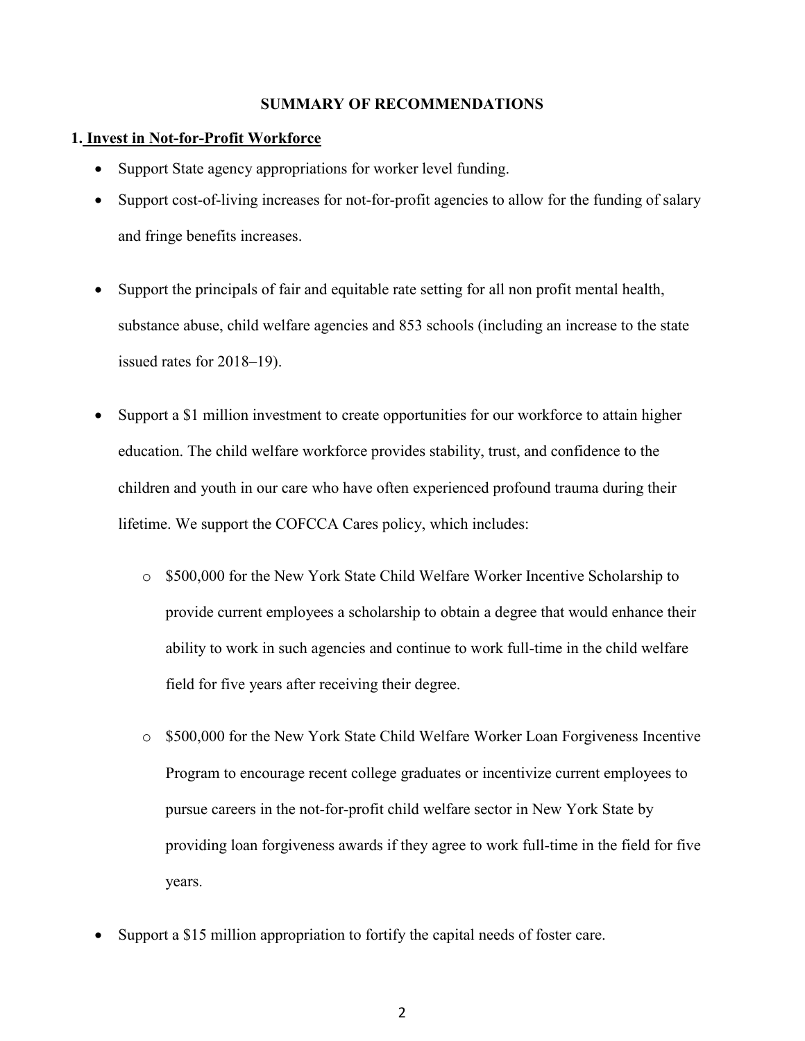## **SUMMARY OF RECOMMENDATIONS**

### **1. Invest in Not-for-Profit Workforce**

- Support State agency appropriations for worker level funding.
- Support cost-of-living increases for not-for-profit agencies to allow for the funding of salary and fringe benefits increases.
- Support the principals of fair and equitable rate setting for all non profit mental health, substance abuse, child welfare agencies and 853 schools (including an increase to the state issued rates for 2018–19).
- Support a \$1 million investment to create opportunities for our workforce to attain higher education. The child welfare workforce provides stability, trust, and confidence to the children and youth in our care who have often experienced profound trauma during their lifetime. We support the COFCCA Cares policy, which includes:
	- o \$500,000 for the New York State Child Welfare Worker Incentive Scholarship to provide current employees a scholarship to obtain a degree that would enhance their ability to work in such agencies and continue to work full-time in the child welfare field for five years after receiving their degree.
	- o \$500,000 for the New York State Child Welfare Worker Loan Forgiveness Incentive Program to encourage recent college graduates or incentivize current employees to pursue careers in the not-for-profit child welfare sector in New York State by providing loan forgiveness awards if they agree to work full-time in the field for five years.
- Support a \$15 million appropriation to fortify the capital needs of foster care.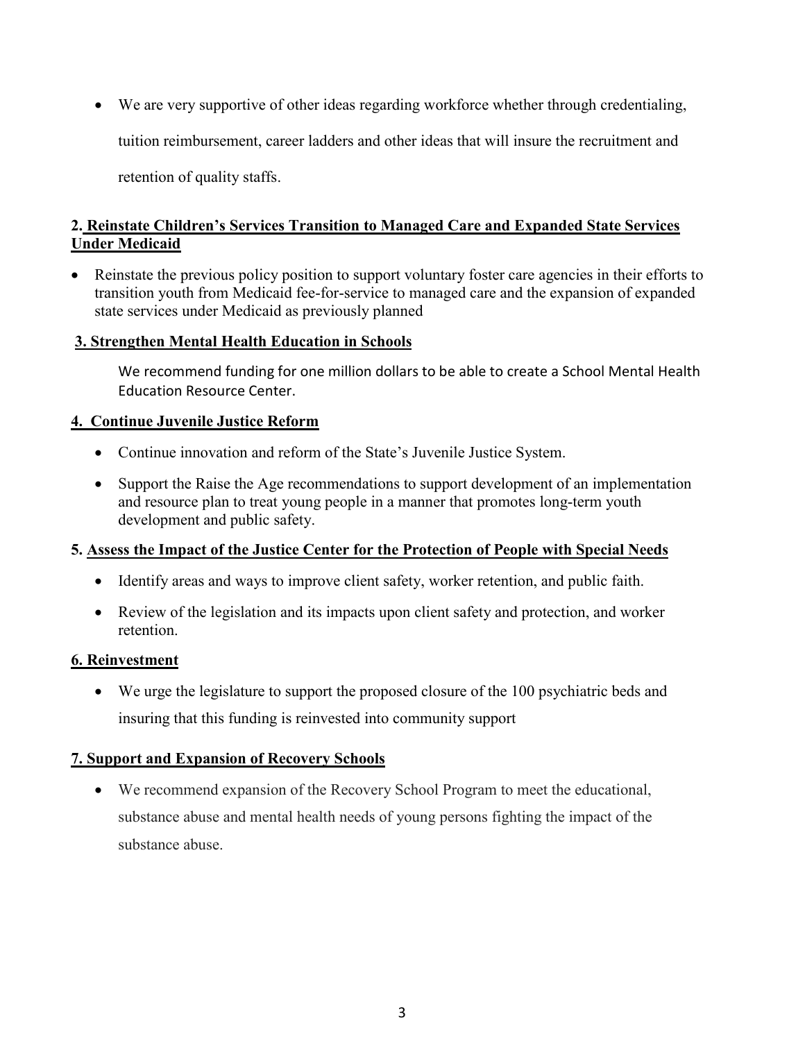• We are very supportive of other ideas regarding workforce whether through credentialing, tuition reimbursement, career ladders and other ideas that will insure the recruitment and

retention of quality staffs.

# **2. Reinstate Children's Services Transition to Managed Care and Expanded State Services Under Medicaid**

• Reinstate the previous policy position to support voluntary foster care agencies in their efforts to transition youth from Medicaid fee-for-service to managed care and the expansion of expanded state services under Medicaid as previously planned

# **3. Strengthen Mental Health Education in Schools**

We recommend funding for one million dollars to be able to create a School Mental Health Education Resource Center.

# **4. Continue Juvenile Justice Reform**

- Continue innovation and reform of the State's Juvenile Justice System.
- Support the Raise the Age recommendations to support development of an implementation and resource plan to treat young people in a manner that promotes long-term youth development and public safety.

# **5. Assess the Impact of the Justice Center for the Protection of People with Special Needs**

- Identify areas and ways to improve client safety, worker retention, and public faith.
- Review of the legislation and its impacts upon client safety and protection, and worker retention.

## **6. Reinvestment**

• We urge the legislature to support the proposed closure of the 100 psychiatric beds and insuring that this funding is reinvested into community support

# **7. Support and Expansion of Recovery Schools**

• We recommend expansion of the Recovery School Program to meet the educational, substance abuse and mental health needs of young persons fighting the impact of the substance abuse.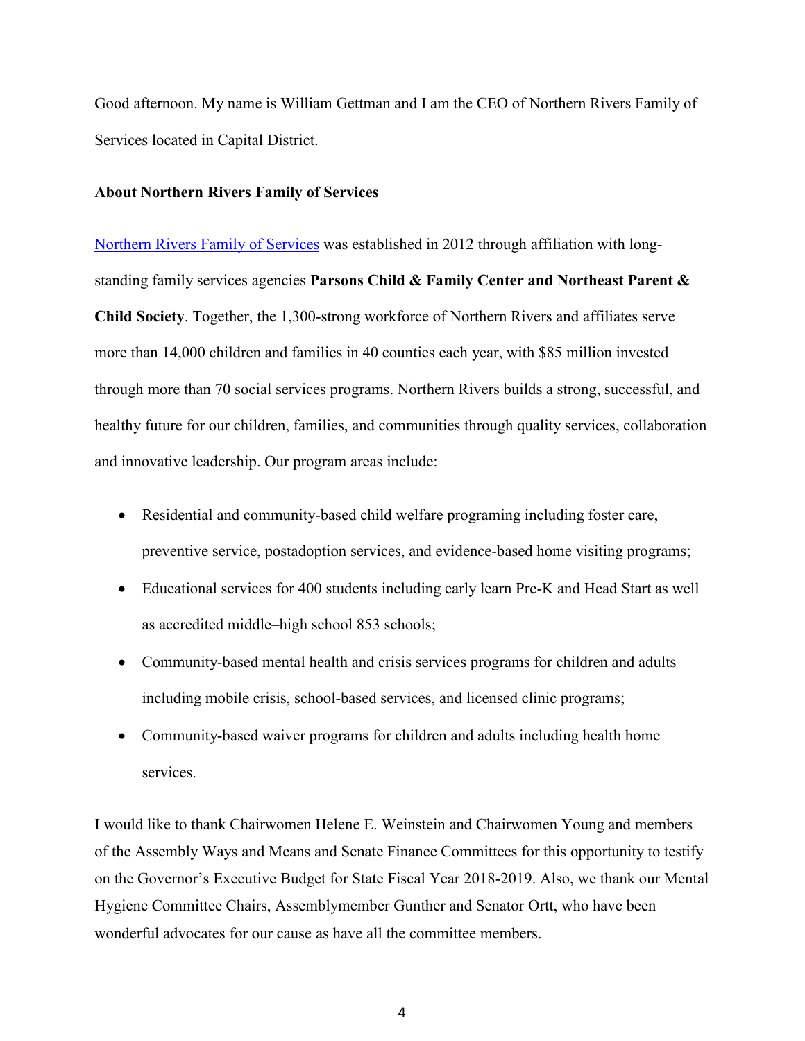Good afternoon. My name is William Gettman and I am the CEO of Northern Rivers Family of Services located in Capital District.

## **About Northern Rivers Family of Services**

[Northern Rivers Family of Services](http://www.northernrivers.org/) was established in 2012 through affiliation with longstanding family services agencies **Parsons Child & Family Center and Northeast Parent & Child Society**. Together, the 1,300-strong workforce of Northern Rivers and affiliates serve more than 14,000 children and families in 40 counties each year, with \$85 million invested through more than 70 social services programs. Northern Rivers builds a strong, successful, and healthy future for our children, families, and communities through quality services, collaboration and innovative leadership. Our program areas include:

- Residential and community-based child welfare programing including foster care, preventive service, postadoption services, and evidence-based home visiting programs;
- Educational services for 400 students including early learn Pre-K and Head Start as well as accredited middle–high school 853 schools;
- Community-based mental health and crisis services programs for children and adults including mobile crisis, school-based services, and licensed clinic programs;
- Community-based waiver programs for children and adults including health home services.

I would like to thank Chairwomen Helene E. Weinstein and Chairwomen Young and members of the Assembly Ways and Means and Senate Finance Committees for this opportunity to testify on the Governor's Executive Budget for State Fiscal Year 2018-2019. Also, we thank our Mental Hygiene Committee Chairs, Assemblymember Gunther and Senator Ortt, who have been wonderful advocates for our cause as have all the committee members.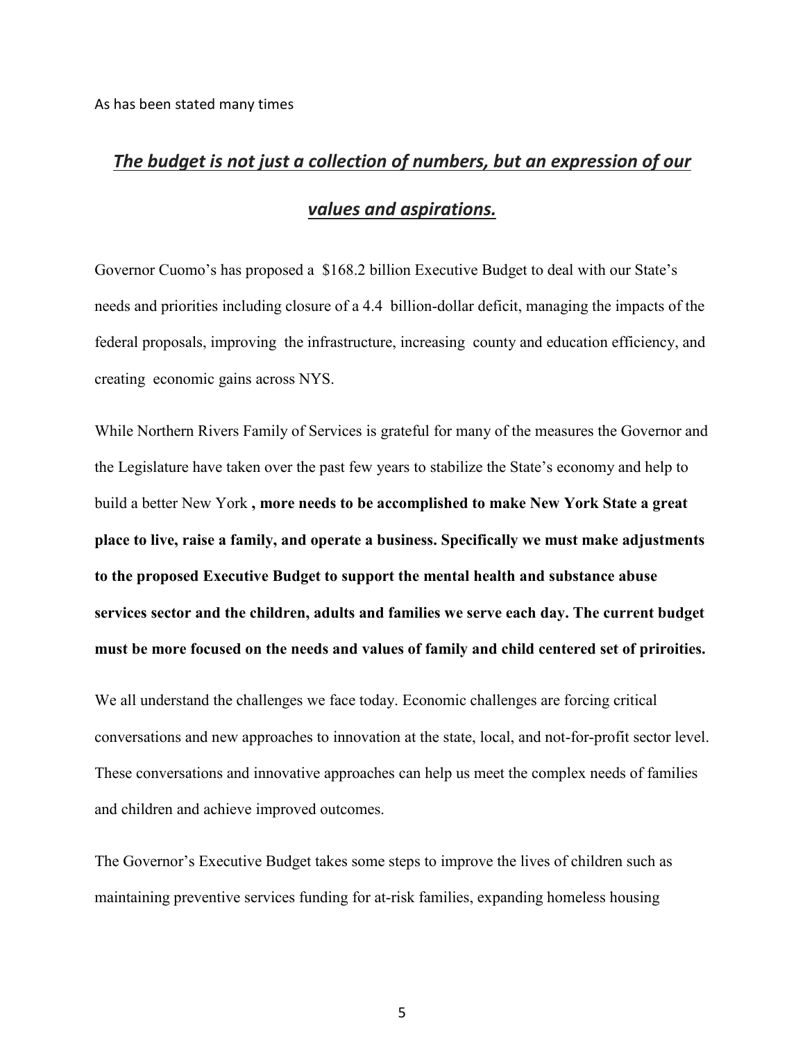# *[The budget is not just a collection of numbers, but an expression of our](https://www.brainyquote.com/quotes/jacob_lew_442942)  [values and aspirations.](https://www.brainyquote.com/quotes/jacob_lew_442942)*

Governor Cuomo's has proposed a \$168.2 billion Executive Budget to deal with our State's needs and priorities including closure of a 4.4 billion-dollar deficit, managing the impacts of the federal proposals, improving the infrastructure, increasing county and education efficiency, and creating economic gains across NYS.

While Northern Rivers Family of Services is grateful for many of the measures the Governor and the Legislature have taken over the past few years to stabilize the State's economy and help to build a better New York **, more needs to be accomplished to make New York State a great place to live, raise a family, and operate a business. Specifically we must make adjustments to the proposed Executive Budget to support the mental health and substance abuse services sector and the children, adults and families we serve each day. The current budget must be more focused on the needs and values of family and child centered set of priroities.**

We all understand the challenges we face today. Economic challenges are forcing critical conversations and new approaches to innovation at the state, local, and not-for-profit sector level. These conversations and innovative approaches can help us meet the complex needs of families and children and achieve improved outcomes.

The Governor's Executive Budget takes some steps to improve the lives of children such as maintaining preventive services funding for at-risk families, expanding homeless housing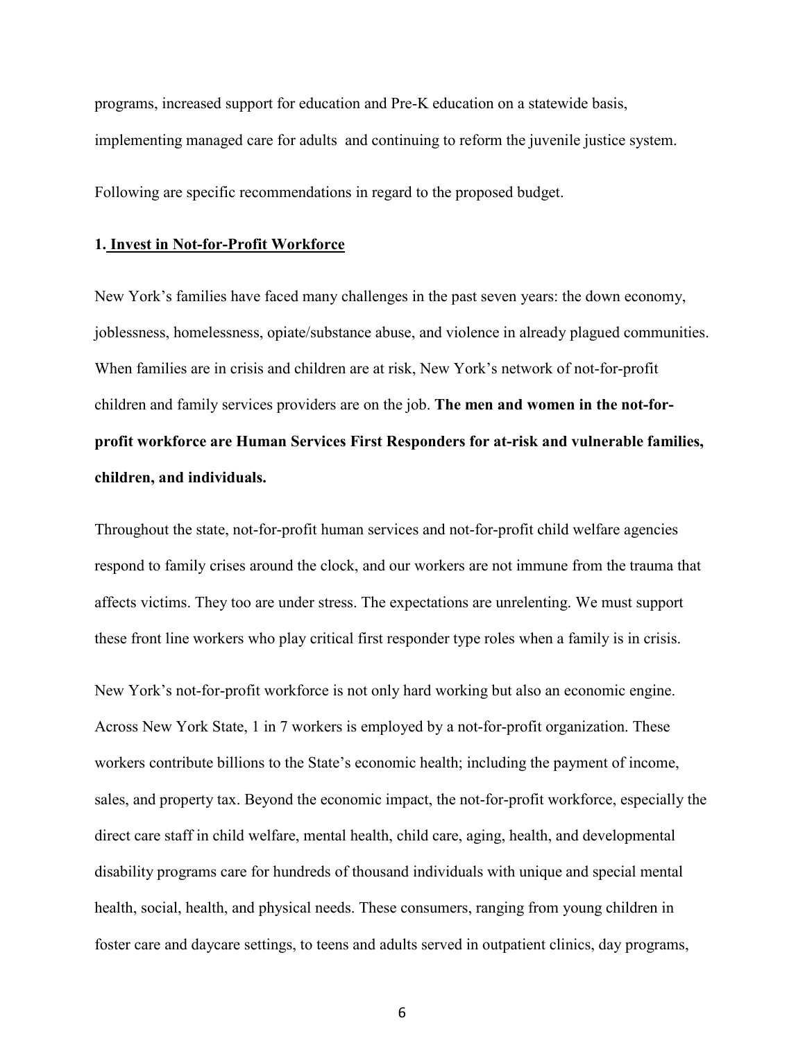programs, increased support for education and Pre-K education on a statewide basis, implementing managed care for adults and continuing to reform the juvenile justice system.

Following are specific recommendations in regard to the proposed budget.

### **1. Invest in Not-for-Profit Workforce**

New York's families have faced many challenges in the past seven years: the down economy, joblessness, homelessness, opiate/substance abuse, and violence in already plagued communities. When families are in crisis and children are at risk, New York's network of not-for-profit children and family services providers are on the job. **The men and women in the not-forprofit workforce are Human Services First Responders for at-risk and vulnerable families, children, and individuals.**

Throughout the state, not-for-profit human services and not-for-profit child welfare agencies respond to family crises around the clock, and our workers are not immune from the trauma that affects victims. They too are under stress. The expectations are unrelenting. We must support these front line workers who play critical first responder type roles when a family is in crisis.

New York's not-for-profit workforce is not only hard working but also an economic engine. Across New York State, 1 in 7 workers is employed by a not-for-profit organization. These workers contribute billions to the State's economic health; including the payment of income, sales, and property tax. Beyond the economic impact, the not-for-profit workforce, especially the direct care staff in child welfare, mental health, child care, aging, health, and developmental disability programs care for hundreds of thousand individuals with unique and special mental health, social, health, and physical needs. These consumers, ranging from young children in foster care and daycare settings, to teens and adults served in outpatient clinics, day programs,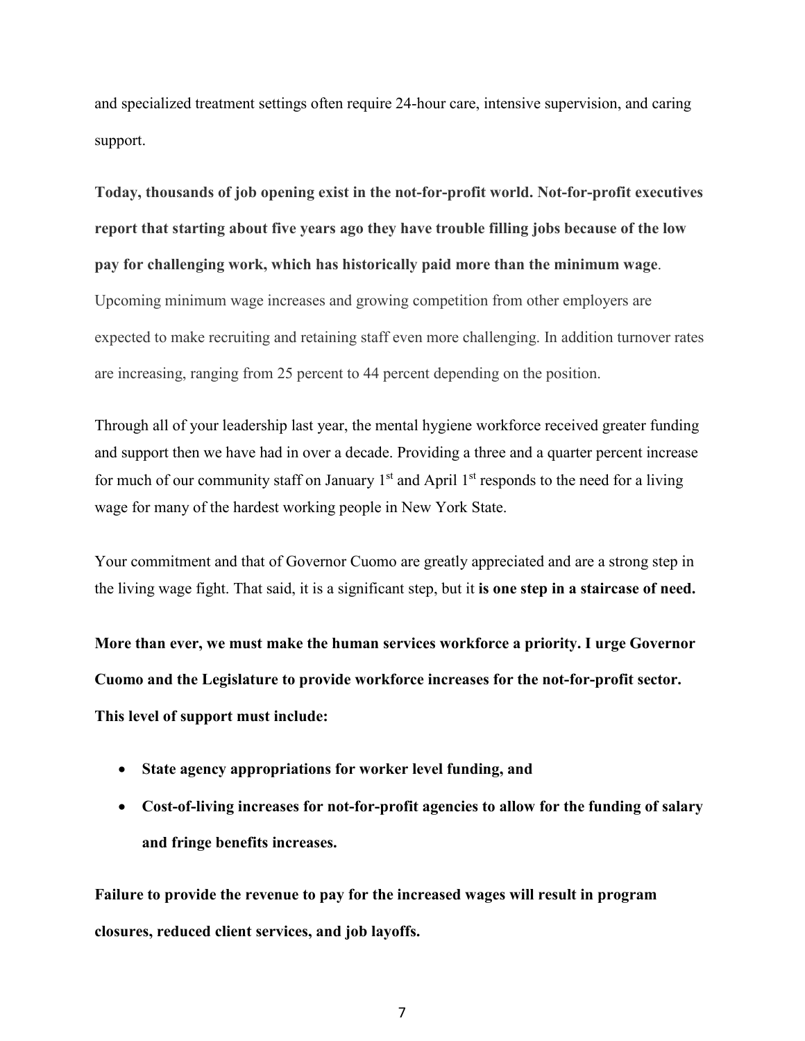and specialized treatment settings often require 24-hour care, intensive supervision, and caring support.

**Today, thousands of job opening exist in the not-for-profit world. Not-for-profit executives report that starting about five years ago they have trouble filling jobs because of the low pay for challenging work, which has historically paid more than the minimum wage**. Upcoming minimum wage increases and growing competition from other employers are expected to make recruiting and retaining staff even more challenging. In addition turnover rates are increasing, ranging from 25 percent to 44 percent depending on the position.

Through all of your leadership last year, the mental hygiene workforce received greater funding and support then we have had in over a decade. Providing a three and a quarter percent increase for much of our community staff on January  $1<sup>st</sup>$  and April  $1<sup>st</sup>$  responds to the need for a living wage for many of the hardest working people in New York State.

Your commitment and that of Governor Cuomo are greatly appreciated and are a strong step in the living wage fight. That said, it is a significant step, but it **is one step in a staircase of need.** 

**More than ever, we must make the human services workforce a priority. I urge Governor Cuomo and the Legislature to provide workforce increases for the not-for-profit sector. This level of support must include:**

- **State agency appropriations for worker level funding, and**
- **Cost-of-living increases for not-for-profit agencies to allow for the funding of salary and fringe benefits increases.**

**Failure to provide the revenue to pay for the increased wages will result in program closures, reduced client services, and job layoffs.**

7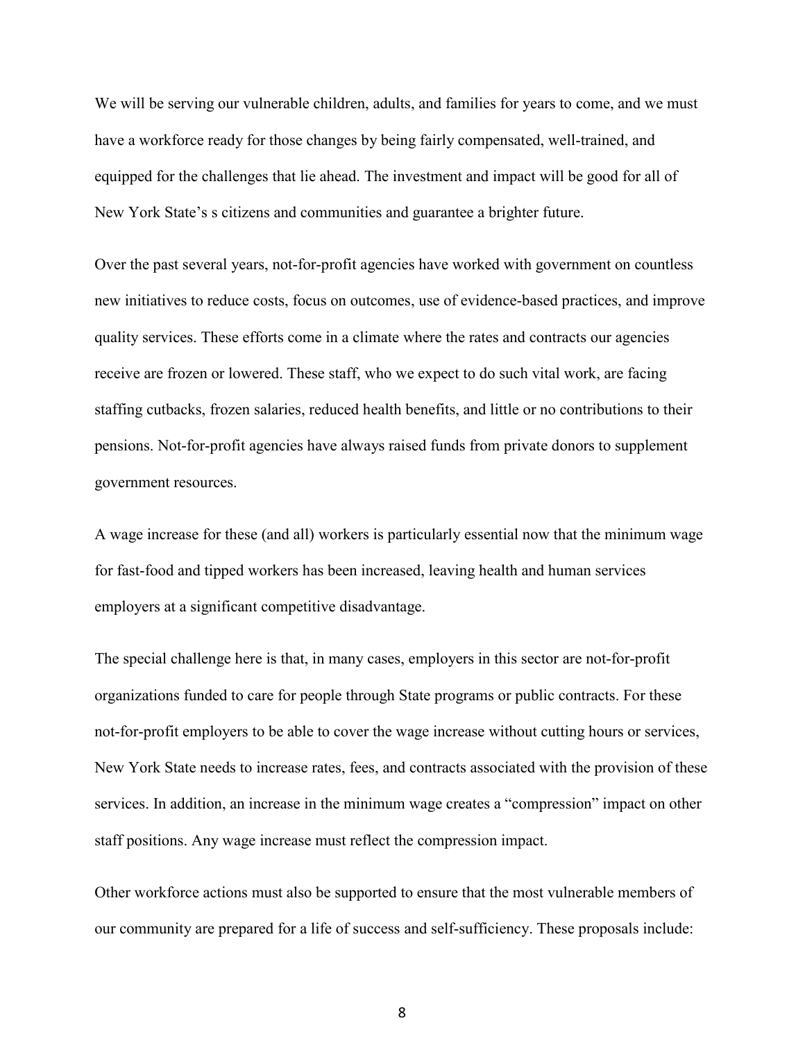We will be serving our vulnerable children, adults, and families for years to come, and we must have a workforce ready for those changes by being fairly compensated, well-trained, and equipped for the challenges that lie ahead. The investment and impact will be good for all of New York State's s citizens and communities and guarantee a brighter future.

Over the past several years, not-for-profit agencies have worked with government on countless new initiatives to reduce costs, focus on outcomes, use of evidence-based practices, and improve quality services. These efforts come in a climate where the rates and contracts our agencies receive are frozen or lowered. These staff, who we expect to do such vital work, are facing staffing cutbacks, frozen salaries, reduced health benefits, and little or no contributions to their pensions. Not-for-profit agencies have always raised funds from private donors to supplement government resources.

A wage increase for these (and all) workers is particularly essential now that the minimum wage for fast-food and tipped workers has been increased, leaving health and human services employers at a significant competitive disadvantage.

The special challenge here is that, in many cases, employers in this sector are not-for-profit organizations funded to care for people through State programs or public contracts. For these not-for-profit employers to be able to cover the wage increase without cutting hours or services, New York State needs to increase rates, fees, and contracts associated with the provision of these services. In addition, an increase in the minimum wage creates a "compression" impact on other staff positions. Any wage increase must reflect the compression impact.

Other workforce actions must also be supported to ensure that the most vulnerable members of our community are prepared for a life of success and self-sufficiency. These proposals include:

8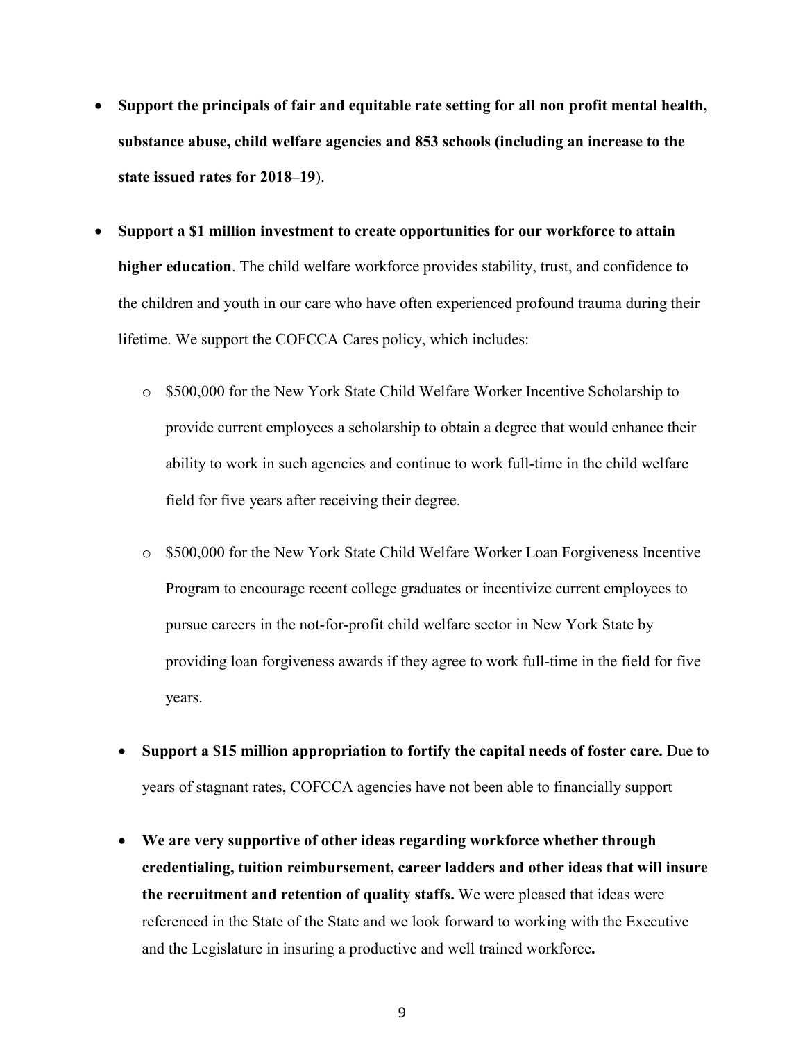- **Support the principals of fair and equitable rate setting for all non profit mental health, substance abuse, child welfare agencies and 853 schools (including an increase to the state issued rates for 2018–19**).
- **Support a \$1 million investment to create opportunities for our workforce to attain higher education**. The child welfare workforce provides stability, trust, and confidence to the children and youth in our care who have often experienced profound trauma during their lifetime. We support the COFCCA Cares policy, which includes:
	- o \$500,000 for the New York State Child Welfare Worker Incentive Scholarship to provide current employees a scholarship to obtain a degree that would enhance their ability to work in such agencies and continue to work full-time in the child welfare field for five years after receiving their degree.
	- o \$500,000 for the New York State Child Welfare Worker Loan Forgiveness Incentive Program to encourage recent college graduates or incentivize current employees to pursue careers in the not-for-profit child welfare sector in New York State by providing loan forgiveness awards if they agree to work full-time in the field for five years.
	- **Support a \$15 million appropriation to fortify the capital needs of foster care.** Due to years of stagnant rates, COFCCA agencies have not been able to financially support
	- **We are very supportive of other ideas regarding workforce whether through credentialing, tuition reimbursement, career ladders and other ideas that will insure the recruitment and retention of quality staffs.** We were pleased that ideas were referenced in the State of the State and we look forward to working with the Executive and the Legislature in insuring a productive and well trained workforce**.**

9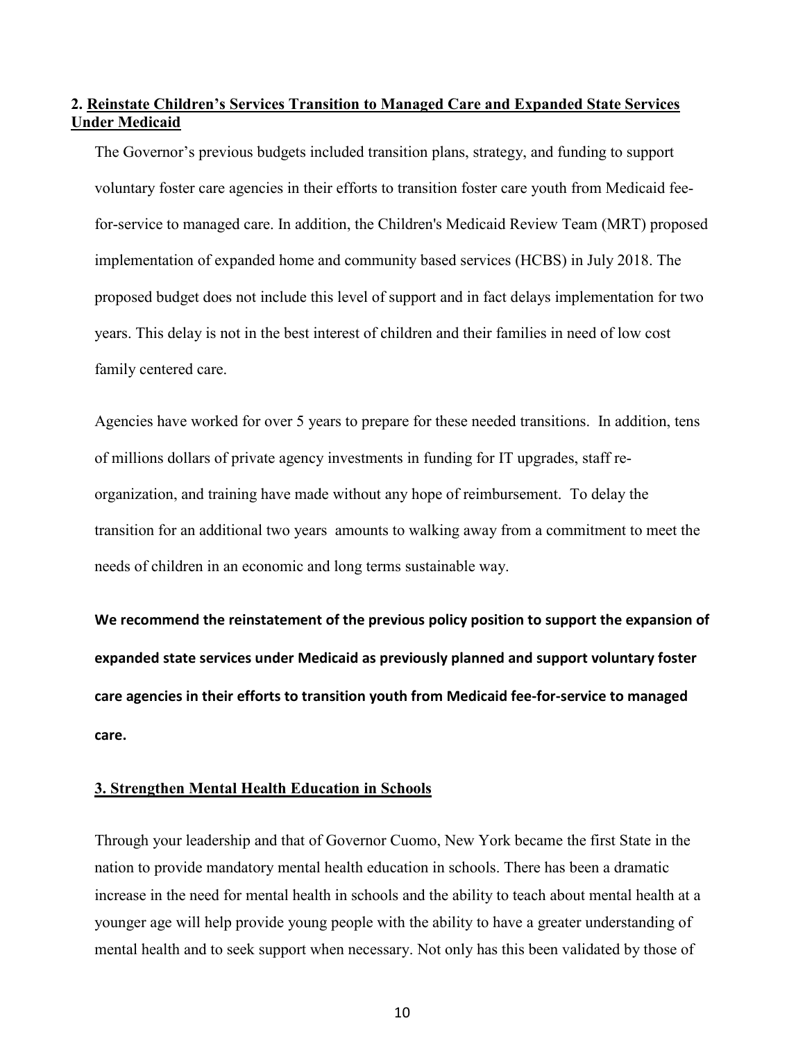## **2. Reinstate Children's Services Transition to Managed Care and Expanded State Services Under Medicaid**

The Governor's previous budgets included transition plans, strategy, and funding to support voluntary foster care agencies in their efforts to transition foster care youth from Medicaid feefor-service to managed care. In addition, the Children's Medicaid Review Team (MRT) proposed implementation of expanded home and community based services (HCBS) in July 2018. The proposed budget does not include this level of support and in fact delays implementation for two years. This delay is not in the best interest of children and their families in need of low cost family centered care.

Agencies have worked for over 5 years to prepare for these needed transitions. In addition, tens of millions dollars of private agency investments in funding for IT upgrades, staff reorganization, and training have made without any hope of reimbursement. To delay the transition for an additional two years amounts to walking away from a commitment to meet the needs of children in an economic and long terms sustainable way.

**We recommend the reinstatement of the previous policy position to support the expansion of expanded state services under Medicaid as previously planned and support voluntary foster care agencies in their efforts to transition youth from Medicaid fee-for-service to managed care.**

## **3. Strengthen Mental Health Education in Schools**

Through your leadership and that of Governor Cuomo, New York became the first State in the nation to provide mandatory mental health education in schools. There has been a dramatic increase in the need for mental health in schools and the ability to teach about mental health at a younger age will help provide young people with the ability to have a greater understanding of mental health and to seek support when necessary. Not only has this been validated by those of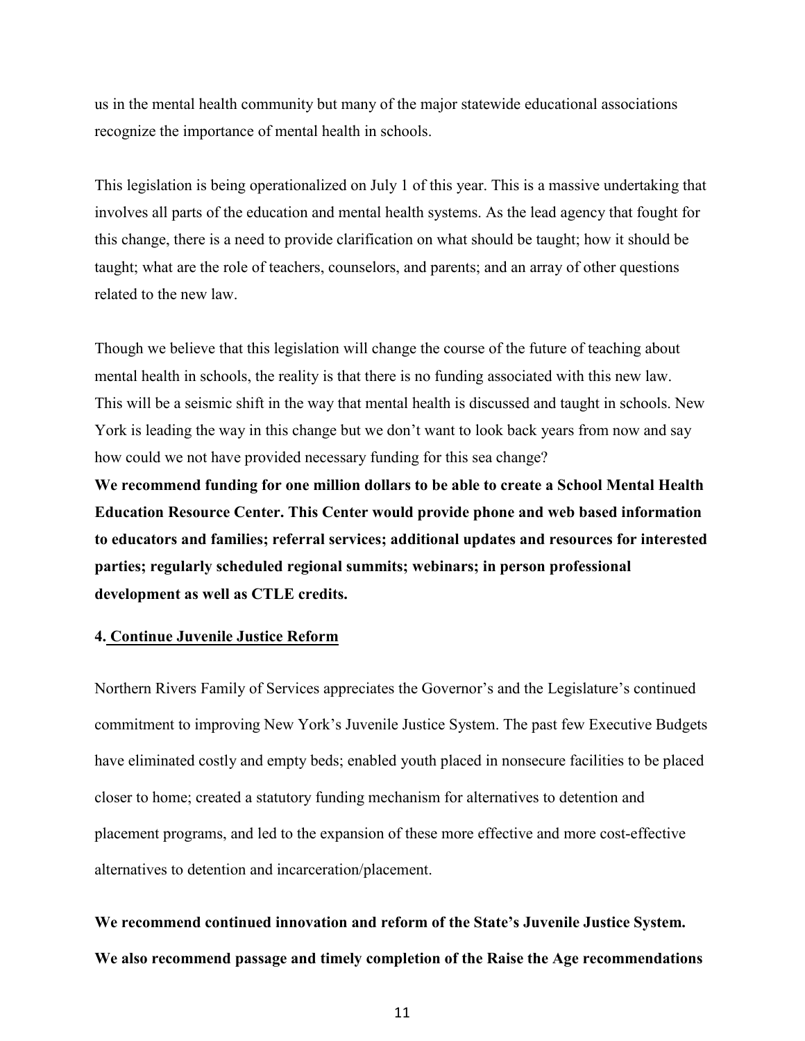us in the mental health community but many of the major statewide educational associations recognize the importance of mental health in schools.

This legislation is being operationalized on July 1 of this year. This is a massive undertaking that involves all parts of the education and mental health systems. As the lead agency that fought for this change, there is a need to provide clarification on what should be taught; how it should be taught; what are the role of teachers, counselors, and parents; and an array of other questions related to the new law.

Though we believe that this legislation will change the course of the future of teaching about mental health in schools, the reality is that there is no funding associated with this new law. This will be a seismic shift in the way that mental health is discussed and taught in schools. New York is leading the way in this change but we don't want to look back years from now and say how could we not have provided necessary funding for this sea change?

**We recommend funding for one million dollars to be able to create a School Mental Health Education Resource Center. This Center would provide phone and web based information to educators and families; referral services; additional updates and resources for interested parties; regularly scheduled regional summits; webinars; in person professional development as well as CTLE credits.**

## **4. Continue Juvenile Justice Reform**

Northern Rivers Family of Services appreciates the Governor's and the Legislature's continued commitment to improving New York's Juvenile Justice System. The past few Executive Budgets have eliminated costly and empty beds; enabled youth placed in nonsecure facilities to be placed closer to home; created a statutory funding mechanism for alternatives to detention and placement programs, and led to the expansion of these more effective and more cost-effective alternatives to detention and incarceration/placement.

**We recommend continued innovation and reform of the State's Juvenile Justice System. We also recommend passage and timely completion of the Raise the Age recommendations**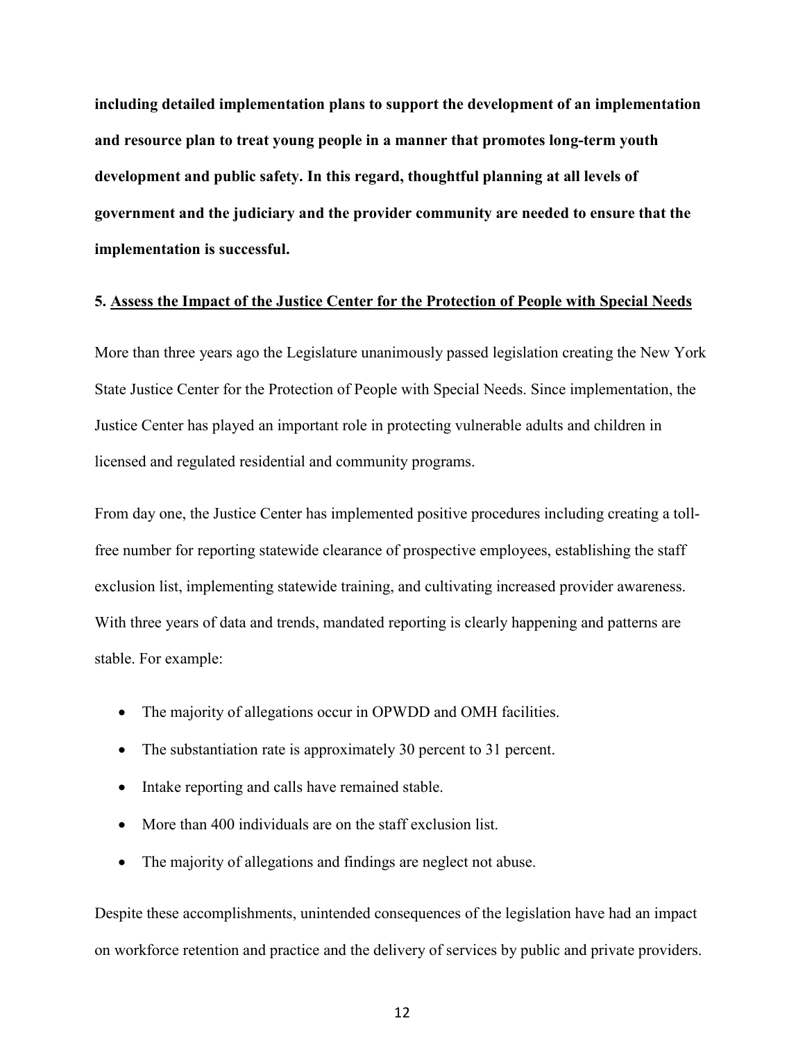**including detailed implementation plans to support the development of an implementation and resource plan to treat young people in a manner that promotes long-term youth development and public safety. In this regard, thoughtful planning at all levels of government and the judiciary and the provider community are needed to ensure that the implementation is successful.**

### **5. Assess the Impact of the Justice Center for the Protection of People with Special Needs**

More than three years ago the Legislature unanimously passed legislation creating the New York State Justice Center for the Protection of People with Special Needs. Since implementation, the Justice Center has played an important role in protecting vulnerable adults and children in licensed and regulated residential and community programs.

From day one, the Justice Center has implemented positive procedures including creating a tollfree number for reporting statewide clearance of prospective employees, establishing the staff exclusion list, implementing statewide training, and cultivating increased provider awareness. With three years of data and trends, mandated reporting is clearly happening and patterns are stable. For example:

- The majority of allegations occur in OPWDD and OMH facilities.
- The substantiation rate is approximately 30 percent to 31 percent.
- Intake reporting and calls have remained stable.
- More than 400 individuals are on the staff exclusion list.
- The majority of allegations and findings are neglect not abuse.

Despite these accomplishments, unintended consequences of the legislation have had an impact on workforce retention and practice and the delivery of services by public and private providers.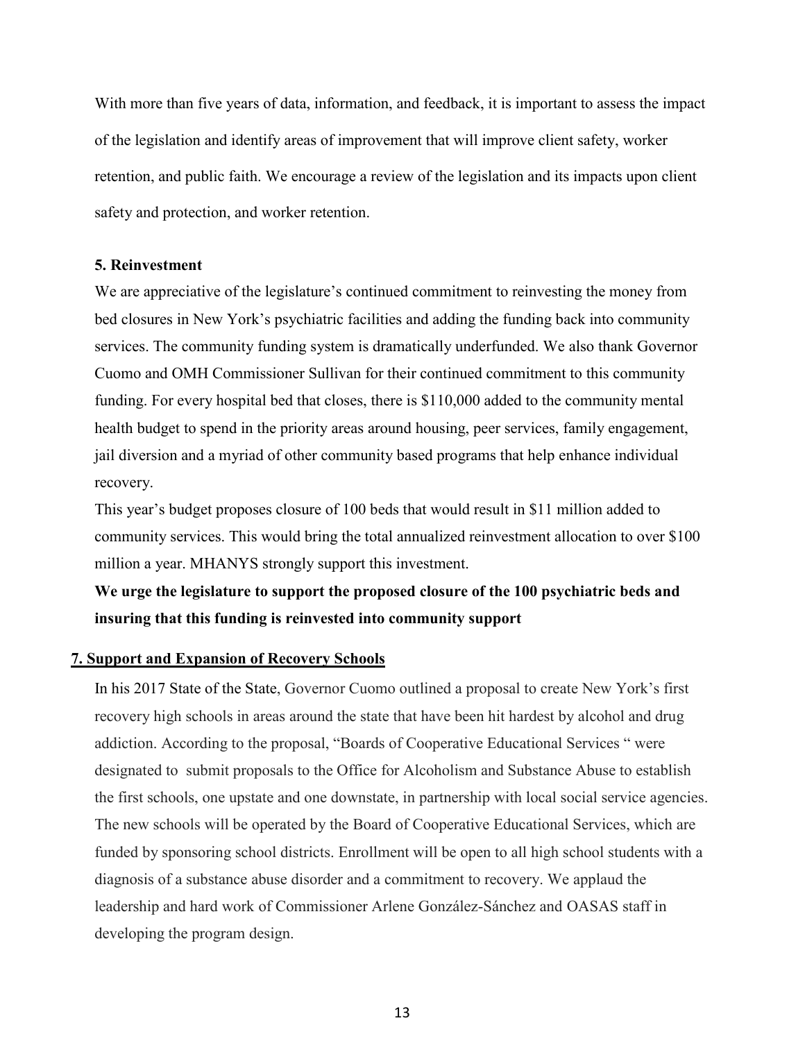With more than five years of data, information, and feedback, it is important to assess the impact of the legislation and identify areas of improvement that will improve client safety, worker retention, and public faith. We encourage a review of the legislation and its impacts upon client safety and protection, and worker retention.

## **5. Reinvestment**

We are appreciative of the legislature's continued commitment to reinvesting the money from bed closures in New York's psychiatric facilities and adding the funding back into community services. The community funding system is dramatically underfunded. We also thank Governor Cuomo and OMH Commissioner Sullivan for their continued commitment to this community funding. For every hospital bed that closes, there is \$110,000 added to the community mental health budget to spend in the priority areas around housing, peer services, family engagement, jail diversion and a myriad of other community based programs that help enhance individual recovery.

This year's budget proposes closure of 100 beds that would result in \$11 million added to community services. This would bring the total annualized reinvestment allocation to over \$100 million a year. MHANYS strongly support this investment.

# **We urge the legislature to support the proposed closure of the 100 psychiatric beds and insuring that this funding is reinvested into community support**

#### **7. Support and Expansion of Recovery Schools**

In his 2017 State of the [State,](https://www.governor.ny.gov/news/governor-cuomo-presents-26th-proposal-2017-state-state-sweeping-comprehensive-actions-combat) Governor Cuomo outlined a proposal to create New York's first recovery high schools in areas around the state that have been hit hardest by alcohol and drug addiction. According to the proposal, "Boards of Cooperative Educational Services " were designated to submit proposals to the Office for Alcoholism and Substance Abuse to establish the first schools, one upstate and one downstate, in partnership with local social service agencies. The new schools will be operated by the Board of Cooperative Educational Services, which are funded by sponsoring school districts. Enrollment will be open to all high school students with a diagnosis of a substance abuse disorder and a commitment to recovery. We applaud the leadership and hard work of Commissioner Arlene González-Sánchez and OASAS staff in developing the program design.